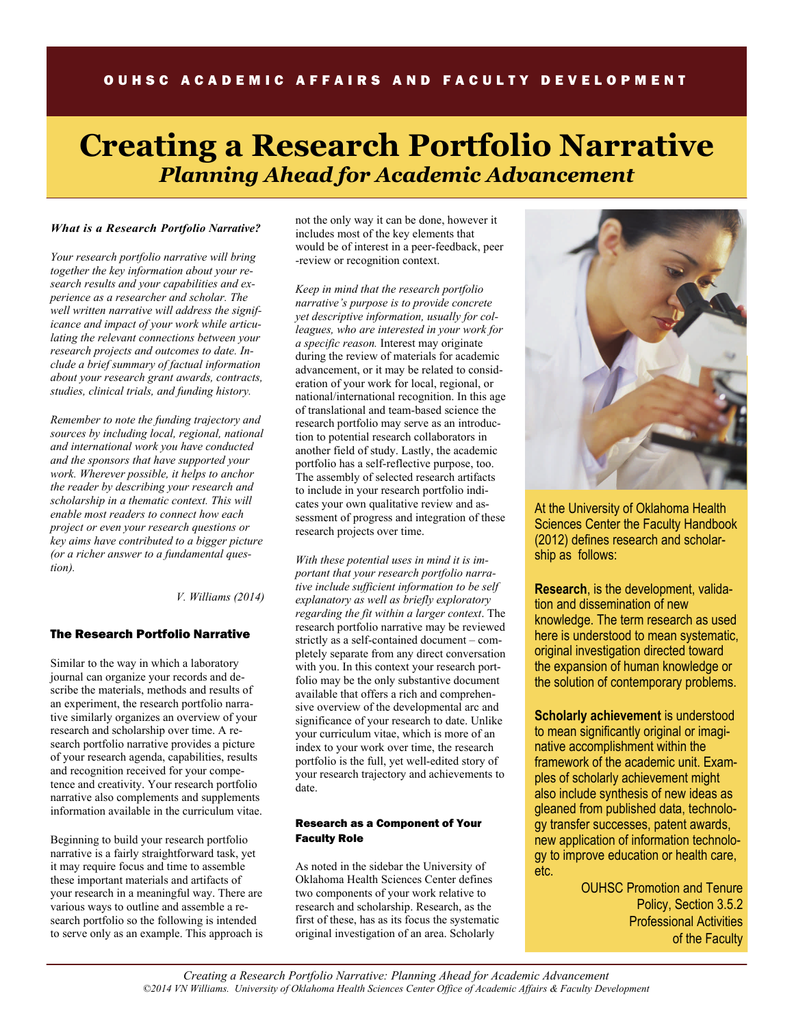# OUHSC ACADEMIC AFFAIRS AND FACULTY DEVELOPMENT

# **Creating a Research Portfolio Narrative**  *Planning Ahead for Academic Advancement*

#### *What is a Research Portfolio Narrative?*

*Your research portfolio narrative will bring together the key information about your research results and your capabilities and experience as a researcher and scholar. The well written narrative will address the significance and impact of your work while articulating the relevant connections between your research projects and outcomes to date. Include a brief summary of factual information about your research grant awards, contracts, studies, clinical trials, and funding history.* 

*Remember to note the funding trajectory and sources by including local, regional, national and international work you have conducted and the sponsors that have supported your work. Wherever possible, it helps to anchor the reader by describing your research and scholarship in a thematic context. This will enable most readers to connect how each project or even your research questions or key aims have contributed to a bigger picture (or a richer answer to a fundamental question).* 

*V. Williams (2014)* 

#### The Research Portfolio Narrative

Similar to the way in which a laboratory journal can organize your records and describe the materials, methods and results of an experiment, the research portfolio narrative similarly organizes an overview of your research and scholarship over time. A research portfolio narrative provides a picture of your research agenda, capabilities, results and recognition received for your competence and creativity. Your research portfolio narrative also complements and supplements information available in the curriculum vitae.

Beginning to build your research portfolio narrative is a fairly straightforward task, yet it may require focus and time to assemble these important materials and artifacts of your research in a meaningful way. There are various ways to outline and assemble a research portfolio so the following is intended to serve only as an example. This approach is not the only way it can be done, however it includes most of the key elements that would be of interest in a peer-feedback, peer -review or recognition context.

*Keep in mind that the research portfolio narrative's purpose is to provide concrete yet descriptive information, usually for colleagues, who are interested in your work for a specific reason.* Interest may originate during the review of materials for academic advancement, or it may be related to consideration of your work for local, regional, or national/international recognition. In this age of translational and team-based science the research portfolio may serve as an introduction to potential research collaborators in another field of study. Lastly, the academic portfolio has a self-reflective purpose, too. The assembly of selected research artifacts to include in your research portfolio indicates your own qualitative review and assessment of progress and integration of these research projects over time.

*With these potential uses in mind it is important that your research portfolio narrative include sufficient information to be self explanatory as well as briefly exploratory regarding the fit within a larger context*. The research portfolio narrative may be reviewed strictly as a self-contained document – completely separate from any direct conversation with you. In this context your research portfolio may be the only substantive document available that offers a rich and comprehensive overview of the developmental arc and significance of your research to date. Unlike your curriculum vitae, which is more of an index to your work over time, the research portfolio is the full, yet well-edited story of your research trajectory and achievements to date.

#### Research as a Component of Your Faculty Role

As noted in the sidebar the University of Oklahoma Health Sciences Center defines two components of your work relative to research and scholarship. Research, as the first of these, has as its focus the systematic original investigation of an area. Scholarly



At the University of Oklahoma Health Sciences Center the Faculty Handbook (2012) defines research and scholarship as follows:

**Research**, is the development, validation and dissemination of new knowledge. The term research as used here is understood to mean systematic, original investigation directed toward the expansion of human knowledge or the solution of contemporary problems.

**Scholarly achievement** is understood to mean significantly original or imaginative accomplishment within the framework of the academic unit. Examples of scholarly achievement might also include synthesis of new ideas as gleaned from published data, technology transfer successes, patent awards, new application of information technology to improve education or health care, etc.

> OUHSC Promotion and Tenure Policy, Section 3.5.2 Professional Activities of the Faculty